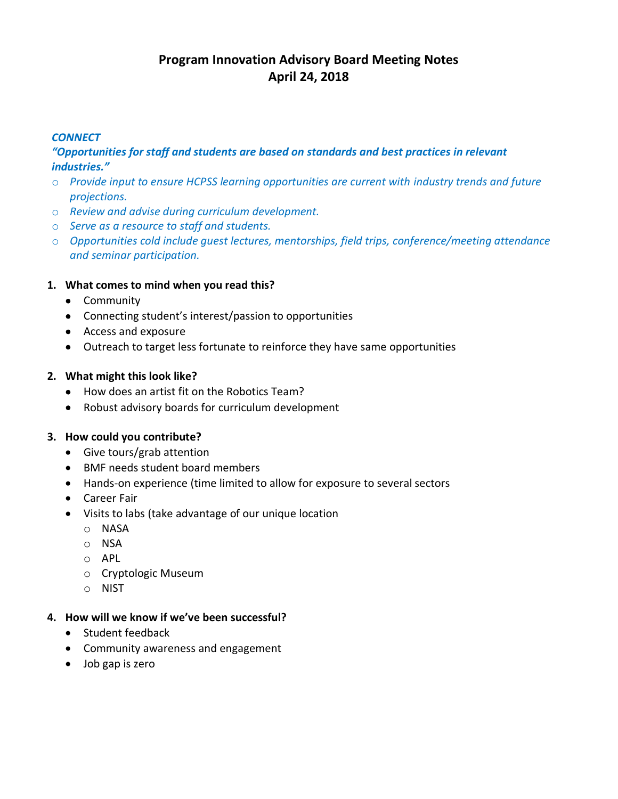# **Program Innovation Advisory Board Meeting Notes April 24, 2018**

## *CONNECT*

# *"Opportunities for staff and students are based on standards and best practices in relevant industries."*

- o *Provide input to ensure HCPSS learning opportunities are current with industry trends and future projections.*
- o *Review and advise during curriculum development.*
- o *Serve as a resource to staff and students.*
- o *Opportunities cold include guest lectures, mentorships, field trips, conference/meeting attendance and seminar participation.*

# **1. What comes to mind when you read this?**

- Community
- Connecting student's interest/passion to opportunities
- Access and exposure
- Outreach to target less fortunate to reinforce they have same opportunities

# **2. What might this look like?**

- How does an artist fit on the Robotics Team?
- Robust advisory boards for curriculum development

# **3. How could you contribute?**

- Give tours/grab attention
- BMF needs student board members
- Hands-on experience (time limited to allow for exposure to several sectors
- Career Fair
- Visits to labs (take advantage of our unique location
	- o NASA
	- o NSA
	- o APL
	- o Cryptologic Museum
	- o NIST

# **4. How will we know if we've been successful?**

- Student feedback
- Community awareness and engagement
- Job gap is zero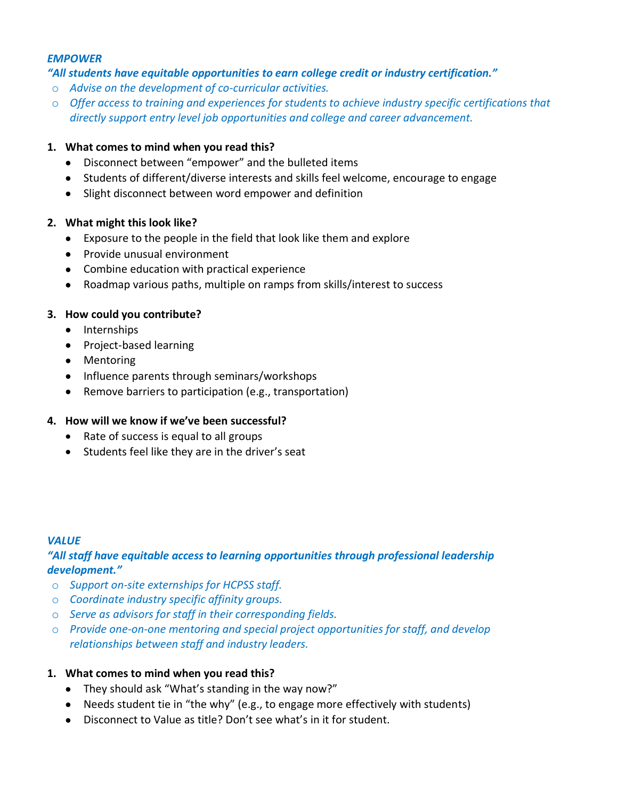#### *EMPOWER*

#### *"All students have equitable opportunities to earn college credit or industry certification."*

- o *Advise on the development of co-curricular activities.*
- o *Offer access to training and experiences for students to achieve industry specific certifications that directly support entry level job opportunities and college and career advancement.*

#### **1. What comes to mind when you read this?**

- Disconnect between "empower" and the bulleted items
- Students of different/diverse interests and skills feel welcome, encourage to engage
- Slight disconnect between word empower and definition

#### **2. What might this look like?**

- Exposure to the people in the field that look like them and explore
- Provide unusual environment
- Combine education with practical experience
- Roadmap various paths, multiple on ramps from skills/interest to success

## **3. How could you contribute?**

- Internships
- Project-based learning
- Mentoring
- Influence parents through seminars/workshops
- Remove barriers to participation (e.g., transportation)

#### **4. How will we know if we've been successful?**

- Rate of success is equal to all groups
- Students feel like they are in the driver's seat

#### *VALUE*

# *"All staff have equitable access to learning opportunities through professional leadership development."*

- o *Support on-site externships for HCPSS staff.*
- o *Coordinate industry specific affinity groups.*
- o *Serve as advisors for staff in their corresponding fields.*
- o *Provide one-on-one mentoring and special project opportunities for staff, and develop relationships between staff and industry leaders.*

#### **1. What comes to mind when you read this?**

- They should ask "What's standing in the way now?"
- Needs student tie in "the why" (e.g., to engage more effectively with students)
- Disconnect to Value as title? Don't see what's in it for student.